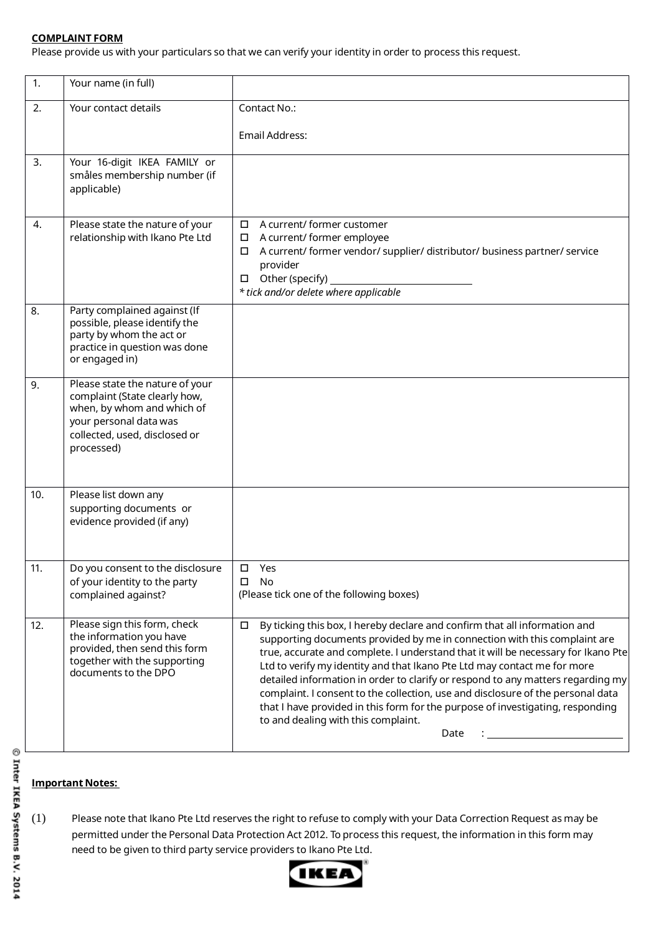## **COMPLAINT FORM**

Please provide us with your particulars so that we can verify your identity in order to process this request.

| 1.  | Your name (in full)                                                                                                                                                     |                                                                                                                                                                                                                                                                                                                                                                                                                                                                                                                                                                                                                                           |
|-----|-------------------------------------------------------------------------------------------------------------------------------------------------------------------------|-------------------------------------------------------------------------------------------------------------------------------------------------------------------------------------------------------------------------------------------------------------------------------------------------------------------------------------------------------------------------------------------------------------------------------------------------------------------------------------------------------------------------------------------------------------------------------------------------------------------------------------------|
| 2.  | Your contact details                                                                                                                                                    | Contact No.:                                                                                                                                                                                                                                                                                                                                                                                                                                                                                                                                                                                                                              |
|     |                                                                                                                                                                         | Email Address:                                                                                                                                                                                                                                                                                                                                                                                                                                                                                                                                                                                                                            |
| 3.  | Your 16-digit IKEA FAMILY or<br>småles membership number (if<br>applicable)                                                                                             |                                                                                                                                                                                                                                                                                                                                                                                                                                                                                                                                                                                                                                           |
| 4.  | Please state the nature of your<br>relationship with Ikano Pte Ltd                                                                                                      | A current/ former customer<br>$\Box$<br>A current/ former employee<br>$\Box$<br>A current/ former vendor/ supplier/ distributor/ business partner/ service<br>$\Box$<br>provider<br>Other (specify)<br>* tick and/or delete where applicable                                                                                                                                                                                                                                                                                                                                                                                              |
| 8.  | Party complained against (If<br>possible, please identify the<br>party by whom the act or<br>practice in question was done<br>or engaged in)                            |                                                                                                                                                                                                                                                                                                                                                                                                                                                                                                                                                                                                                                           |
| 9.  | Please state the nature of your<br>complaint (State clearly how,<br>when, by whom and which of<br>your personal data was<br>collected, used, disclosed or<br>processed) |                                                                                                                                                                                                                                                                                                                                                                                                                                                                                                                                                                                                                                           |
| 10. | Please list down any<br>supporting documents or<br>evidence provided (if any)                                                                                           |                                                                                                                                                                                                                                                                                                                                                                                                                                                                                                                                                                                                                                           |
| 11. | Do you consent to the disclosure<br>of your identity to the party<br>complained against?                                                                                | ப<br>Yes<br>□<br>No<br>(Please tick one of the following boxes)                                                                                                                                                                                                                                                                                                                                                                                                                                                                                                                                                                           |
| 12. | Please sign this form, check<br>the information you have<br>provided, then send this form<br>together with the supporting<br>documents to the DPO                       | By ticking this box, I hereby declare and confirm that all information and<br>$\Box$<br>supporting documents provided by me in connection with this complaint are<br>true, accurate and complete. I understand that it will be necessary for Ikano Pte<br>Ltd to verify my identity and that Ikano Pte Ltd may contact me for more<br>detailed information in order to clarify or respond to any matters regarding my<br>complaint. I consent to the collection, use and disclosure of the personal data<br>that I have provided in this form for the purpose of investigating, responding<br>to and dealing with this complaint.<br>Date |

## **Important Notes:**

(1) Please note that Ikano Pte Ltd reserves the right to refuse to comply with your Data Correction Request as may be permitted under the Personal Data Protection Act 2012. To process this request, the information in this form may need to be given to third party service providers to Ikano Pte Ltd.